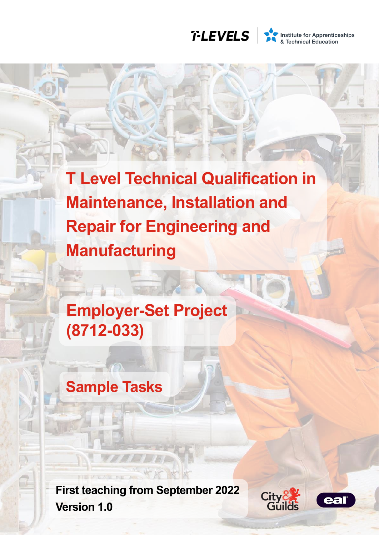

Institute for Apprenticeships<br>& Technical Education

**T Level Technical Qualification in Maintenance, Installation and Repair for Engineering and Manufacturing**

**Employer-Set Project (8712-033)**

# **Sample Tasks**

**First teaching from September 2022 Version 1.0**



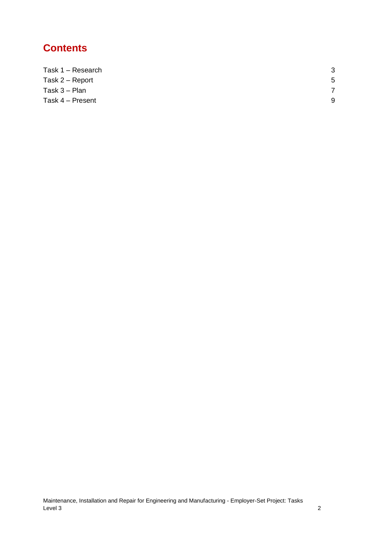## **Contents**

| Task 1 - Research | 3 |
|-------------------|---|
| Task 2 – Report   | 5 |
| Task $3 -$ Plan   |   |
| Task 4 - Present  | 9 |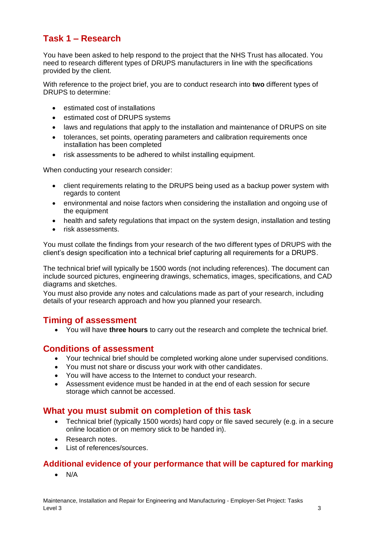### <span id="page-2-0"></span>**Task 1 – Research**

You have been asked to help respond to the project that the NHS Trust has allocated. You need to research different types of DRUPS manufacturers in line with the specifications provided by the client.

With reference to the project brief, you are to conduct research into **two** different types of DRUPS to determine:

- estimated cost of installations
- estimated cost of DRUPS systems
- laws and regulations that apply to the installation and maintenance of DRUPS on site
- tolerances, set points, operating parameters and calibration requirements once installation has been completed
- risk assessments to be adhered to whilst installing equipment.

When conducting your research consider:

- client requirements relating to the DRUPS being used as a backup power system with regards to content
- environmental and noise factors when considering the installation and ongoing use of the equipment
- health and safety regulations that impact on the system design, installation and testing
- risk assessments.

You must collate the findings from your research of the two different types of DRUPS with the client's design specification into a technical brief capturing all requirements for a DRUPS.

The technical brief will typically be 1500 words (not including references). The document can include sourced pictures, engineering drawings, schematics, images, specifications, and CAD diagrams and sketches.

You must also provide any notes and calculations made as part of your research, including details of your research approach and how you planned your research.

### **Timing of assessment**

• You will have **three hours** to carry out the research and complete the technical brief.

### **Conditions of assessment**

- Your technical brief should be completed working alone under supervised conditions.
- You must not share or discuss your work with other candidates.
- You will have access to the Internet to conduct your research.
- Assessment evidence must be handed in at the end of each session for secure storage which cannot be accessed.

### **What you must submit on completion of this task**

- Technical brief (typically 1500 words) hard copy or file saved securely (e.g. in a secure online location or on memory stick to be handed in).
- Research notes.
- List of references/sources.

### **Additional evidence of your performance that will be captured for marking**

• N/A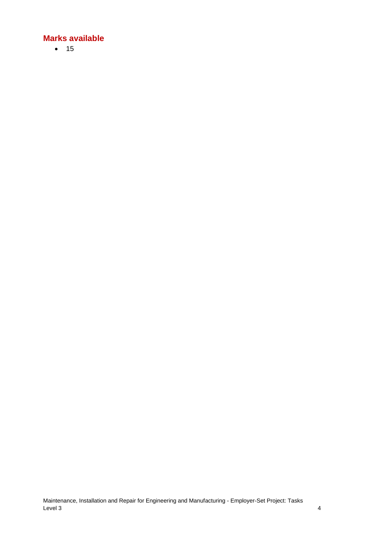• 15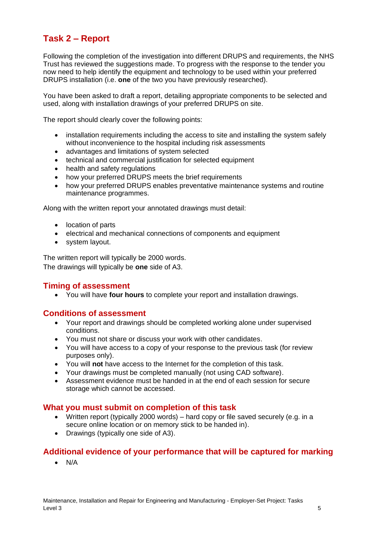### <span id="page-4-0"></span>**Task 2 – Report**

Following the completion of the investigation into different DRUPS and requirements, the NHS Trust has reviewed the suggestions made. To progress with the response to the tender you now need to help identify the equipment and technology to be used within your preferred DRUPS installation (i.e. **one** of the two you have previously researched).

You have been asked to draft a report, detailing appropriate components to be selected and used, along with installation drawings of your preferred DRUPS on site.

The report should clearly cover the following points:

- installation requirements including the access to site and installing the system safely without inconvenience to the hospital including risk assessments
- advantages and limitations of system selected
- technical and commercial justification for selected equipment
- health and safety regulations
- how your preferred DRUPS meets the brief requirements
- how your preferred DRUPS enables preventative maintenance systems and routine maintenance programmes.

Along with the written report your annotated drawings must detail:

- location of parts
- electrical and mechanical connections of components and equipment
- system layout.

The written report will typically be 2000 words. The drawings will typically be **one** side of A3.

### **Timing of assessment**

• You will have **four hours** to complete your report and installation drawings.

#### **Conditions of assessment**

- Your report and drawings should be completed working alone under supervised conditions.
- You must not share or discuss your work with other candidates.
- You will have access to a copy of your response to the previous task (for review purposes only).
- You will **not** have access to the Internet for the completion of this task.
- Your drawings must be completed manually (not using CAD software).
- Assessment evidence must be handed in at the end of each session for secure storage which cannot be accessed.

### **What you must submit on completion of this task**

- Written report (typically 2000 words) hard copy or file saved securely (e.g. in a secure online location or on memory stick to be handed in).
- Drawings (typically one side of A3).

### **Additional evidence of your performance that will be captured for marking**

• N/A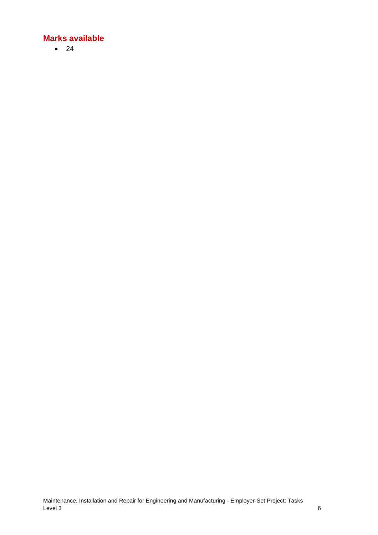• 24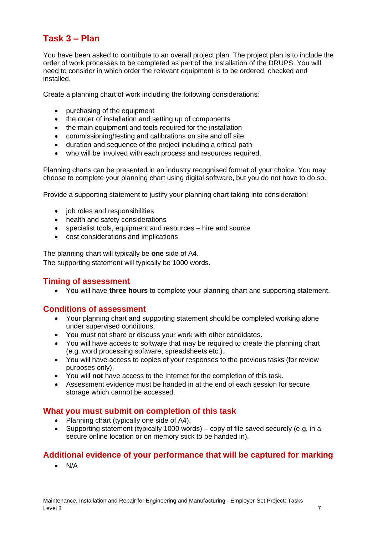### <span id="page-6-0"></span>**Task 3 – Plan**

You have been asked to contribute to an overall project plan. The project plan is to include the order of work processes to be completed as part of the installation of the DRUPS. You will need to consider in which order the relevant equipment is to be ordered, checked and installed.

Create a planning chart of work including the following considerations:

- purchasing of the equipment
- the order of installation and setting up of components
- the main equipment and tools required for the installation
- commissioning/testing and calibrations on site and off site
- duration and sequence of the project including a critical path
- who will be involved with each process and resources required.

Planning charts can be presented in an industry recognised format of your choice. You may choose to complete your planning chart using digital software, but you do not have to do so.

Provide a supporting statement to justify your planning chart taking into consideration:

- job roles and responsibilities
- health and safety considerations
- specialist tools, equipment and resources hire and source
- cost considerations and implications.

The planning chart will typically be **one** side of A4. The supporting statement will typically be 1000 words.

### **Timing of assessment**

• You will have **three hours** to complete your planning chart and supporting statement.

### **Conditions of assessment**

- Your planning chart and supporting statement should be completed working alone under supervised conditions.
- You must not share or discuss your work with other candidates.
- You will have access to software that may be required to create the planning chart (e.g. word processing software, spreadsheets etc.).
- You will have access to copies of your responses to the previous tasks (for review purposes only).
- You will **not** have access to the Internet for the completion of this task.
- Assessment evidence must be handed in at the end of each session for secure storage which cannot be accessed.

### **What you must submit on completion of this task**

- Planning chart (typically one side of A4).
- Supporting statement (typically 1000 words) copy of file saved securely (e.g. in a secure online location or on memory stick to be handed in).

### **Additional evidence of your performance that will be captured for marking**

• N/A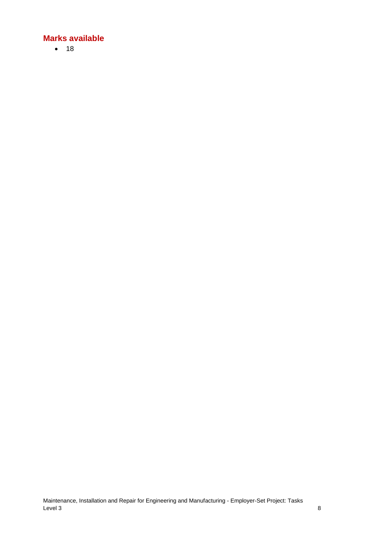• 18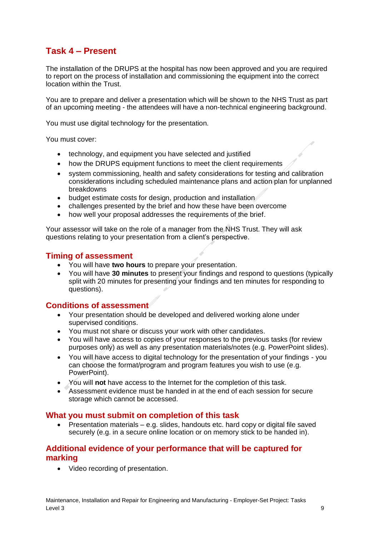### <span id="page-8-0"></span>**Task 4 – Present**

The installation of the DRUPS at the hospital has now been approved and you are required to report on the process of installation and commissioning the equipment into the correct location within the Trust.

You are to prepare and deliver a presentation which will be shown to the NHS Trust as part of an upcoming meeting - the attendees will have a non-technical engineering background.

You must use digital technology for the presentation.

You must cover:

- technology, and equipment you have selected and justified
- how the DRUPS equipment functions to meet the client requirements
- system commissioning, health and safety considerations for testing and calibration considerations including scheduled maintenance plans and action plan for unplanned breakdowns
- budget estimate costs for design, production and installation
- challenges presented by the brief and how these have been overcome
- how well your proposal addresses the requirements of the brief.

Your assessor will take on the role of a manager from the NHS Trust. They will ask questions relating to your presentation from a client's perspective.

### **Timing of assessment**

- You will have **two hours** to prepare your presentation.
- You will have **30 minutes** to present your findings and respond to questions (typically split with 20 minutes for presenting your findings and ten minutes for responding to questions).

### **Conditions of assessment**

- Your presentation should be developed and delivered working alone under supervised conditions.
- You must not share or discuss your work with other candidates.
- You will have access to copies of your responses to the previous tasks (for review purposes only) as well as any presentation materials/notes (e.g. PowerPoint slides).
- You will have access to digital technology for the presentation of your findings you can choose the format/program and program features you wish to use (e.g. PowerPoint).
- You will **not** have access to the Internet for the completion of this task.
- Assessment evidence must be handed in at the end of each session for secure storage which cannot be accessed.

### **What you must submit on completion of this task**

• Presentation materials – e.g. slides, handouts etc. hard copy or digital file saved securely (e.g. in a secure online location or on memory stick to be handed in).

### **Additional evidence of your performance that will be captured for marking**

• Video recording of presentation.